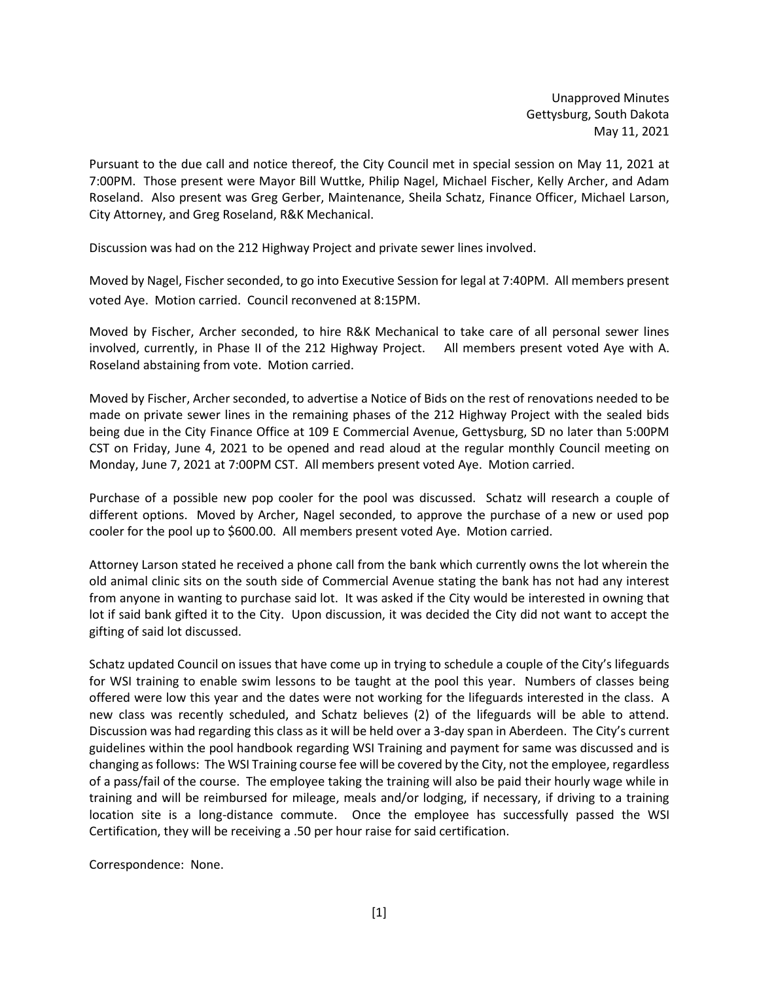Unapproved Minutes Gettysburg, South Dakota May 11, 2021

Pursuant to the due call and notice thereof, the City Council met in special session on May 11, 2021 at 7:00PM. Those present were Mayor Bill Wuttke, Philip Nagel, Michael Fischer, Kelly Archer, and Adam Roseland. Also present was Greg Gerber, Maintenance, Sheila Schatz, Finance Officer, Michael Larson, City Attorney, and Greg Roseland, R&K Mechanical.

Discussion was had on the 212 Highway Project and private sewer lines involved.

Moved by Nagel, Fischer seconded, to go into Executive Session for legal at 7:40PM. All members present voted Aye. Motion carried. Council reconvened at 8:15PM.

Moved by Fischer, Archer seconded, to hire R&K Mechanical to take care of all personal sewer lines involved, currently, in Phase II of the 212 Highway Project. All members present voted Aye with A. Roseland abstaining from vote. Motion carried.

Moved by Fischer, Archer seconded, to advertise a Notice of Bids on the rest of renovations needed to be made on private sewer lines in the remaining phases of the 212 Highway Project with the sealed bids being due in the City Finance Office at 109 E Commercial Avenue, Gettysburg, SD no later than 5:00PM CST on Friday, June 4, 2021 to be opened and read aloud at the regular monthly Council meeting on Monday, June 7, 2021 at 7:00PM CST. All members present voted Aye. Motion carried.

Purchase of a possible new pop cooler for the pool was discussed. Schatz will research a couple of different options. Moved by Archer, Nagel seconded, to approve the purchase of a new or used pop cooler for the pool up to \$600.00. All members present voted Aye. Motion carried.

Attorney Larson stated he received a phone call from the bank which currently owns the lot wherein the old animal clinic sits on the south side of Commercial Avenue stating the bank has not had any interest from anyone in wanting to purchase said lot. It was asked if the City would be interested in owning that lot if said bank gifted it to the City. Upon discussion, it was decided the City did not want to accept the gifting of said lot discussed.

Schatz updated Council on issues that have come up in trying to schedule a couple of the City's lifeguards for WSI training to enable swim lessons to be taught at the pool this year. Numbers of classes being offered were low this year and the dates were not working for the lifeguards interested in the class. A new class was recently scheduled, and Schatz believes (2) of the lifeguards will be able to attend. Discussion was had regarding this class as it will be held over a 3-day span in Aberdeen. The City's current guidelines within the pool handbook regarding WSI Training and payment for same was discussed and is changing as follows: The WSI Training course fee will be covered by the City, not the employee, regardless of a pass/fail of the course. The employee taking the training will also be paid their hourly wage while in training and will be reimbursed for mileage, meals and/or lodging, if necessary, if driving to a training location site is a long-distance commute. Once the employee has successfully passed the WSI Certification, they will be receiving a .50 per hour raise for said certification.

Correspondence: None.